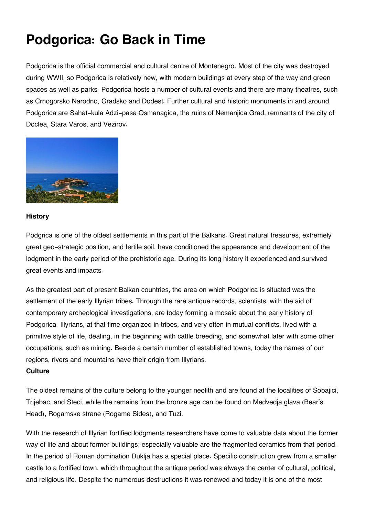# **Podgorica: Go Back in Time**

Podgorica is the official commercial and cultural centre of Montenegro. Most of the city was destroyed during WWII, so Podgorica is relatively new, with modern buildings at every step of the way and green spaces as well as parks. Podgorica hosts a number of cultural events and there are many theatres, such as Crnogorsko Narodno, Gradsko and Dodest. Further cultural and historic monuments in and around Podgorica are Sahat-kula Adzi-pasa Osmanagica, the ruins of Nemanjica Grad, remnants of the city of Doclea, Stara Varos, and Vezirov.



## **History**

Podgrica is one of the oldest settlements in this part of the Balkans. Great natural treasures, extremely great geo-strategic position, and fertile soil, have conditioned the appearance and development of the lodgment in the early period of the prehistoric age. During its long history it experienced and survived great events and impacts.

As the greatest part of present Balkan countries, the area on which Podgorica is situated was the settlement of the early Illyrian tribes. Through the rare antique records, scientists, with the aid of contemporary archeological investigations, are today forming a mosaic about the early history of Podgorica. Illyrians, at that time organized in tribes, and very often in mutual conflicts, lived with a primitive style of life, dealing, in the beginning with cattle breeding, and somewhat later with some other occupations, such as mining. Beside a certain number of established towns, today the names of our regions, rivers and mountains have their origin from Illyrians.

## **Culture**

The oldest remains of the culture belong to the younger neolith and are found at the localities of Sobajici, Trijebac, and Steci, while the remains from the bronze age can be found on Medvedja glava (Bear's Head), Rogamske strane (Rogame Sides), and Tuzi.

With the research of Illyrian fortified lodgments researchers have come to valuable data about the former way of life and about former buildings; especially valuable are the fragmented ceramics from that period. In the period of Roman domination Duklja has a special place. Specific construction grew from a smaller castle to a fortified town, which throughout the antique period was always the center of cultural, political, and religious life. Despite the numerous destructions it was renewed and today it is one of the most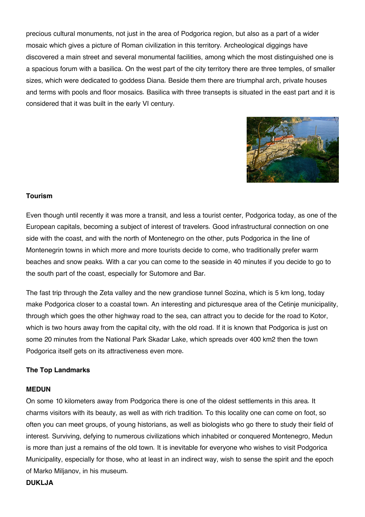precious cultural monuments, not just in the area of Podgorica region, but also as a part of a wider mosaic which gives a picture of Roman civilization in this territory. Archeological diggings have discovered a main street and several monumental facilities, among which the most distinguished one is a spacious forum with a basilica. On the west part of the city territory there are three temples, of smaller sizes, which were dedicated to goddess Diana. Beside them there are triumphal arch, private houses and terms with pools and floor mosaics. Basilica with three transepts is situated in the east part and it is considered that it was built in the early VI century.



## **Tourism**

Even though until recently it was more a transit, and less a tourist center, Podgorica today, as one of the European capitals, becoming a subject of interest of travelers. Good infrastructural connection on one side with the coast, and with the north of Montenegro on the other, puts Podgorica in the line of Montenegrin towns in which more and more tourists decide to come, who traditionally prefer warm beaches and snow peaks. With a car you can come to the seaside in 40 minutes if you decide to go to the south part of the coast, especially for Sutomore and Bar.

The fast trip through the Zeta valley and the new grandiose tunnel Sozina, which is 5 km long, today make Podgorica closer to a coastal town. An interesting and picturesque area of the Cetinje municipality, through which goes the other highway road to the sea, can attract you to decide for the road to Kotor, which is two hours away from the capital city, with the old road. If it is known that Podgorica is just on some 20 minutes from the National Park Skadar Lake, which spreads over 400 km2 then the town Podgorica itself gets on its attractiveness even more.

## **The Top Landmarks**

#### **MEDUN**

On some 10 kilometers away from Podgorica there is one of the oldest settlements in this area. It charms visitors with its beauty, as well as with rich tradition. To this locality one can come on foot, so often you can meet groups, of young historians, as well as biologists who go there to study their field of interest. Surviving, defying to numerous civilizations which inhabited or conquered Montenegro, Medun is more than just a remains of the old town. It is inevitable for everyone who wishes to visit Podgorica Municipality, especially for those, who at least in an indirect way, wish to sense the spirit and the epoch of Marko Miljanov, in his museum.

### **DUKLJA**